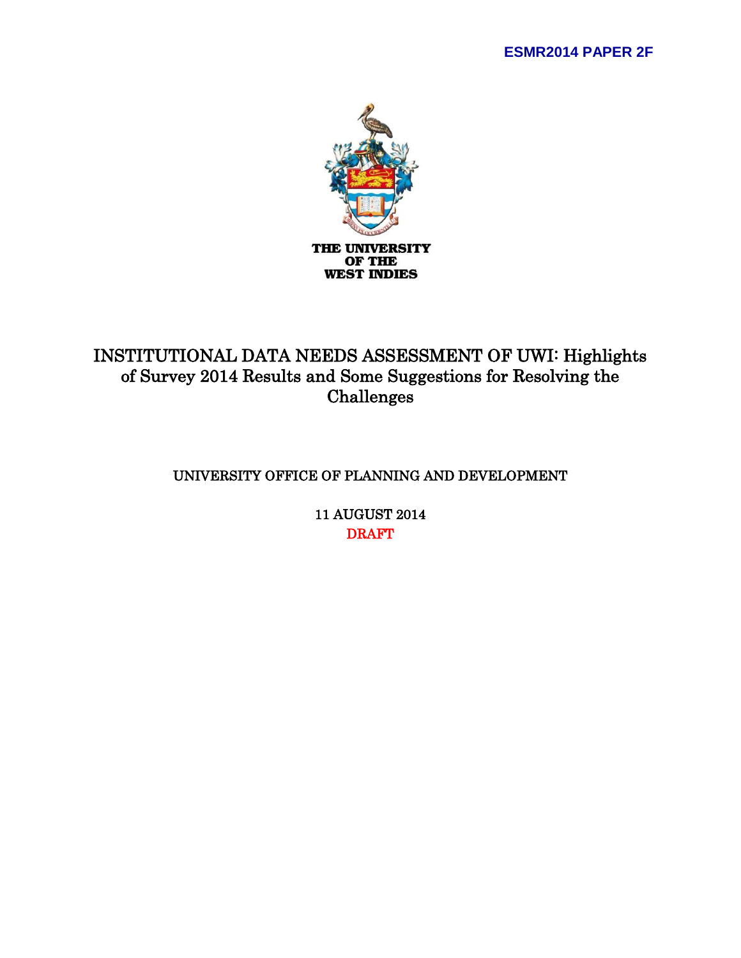

# INSTITUTIONAL DATA NEEDS ASSESSMENT OF UWI: Highlights of Survey 2014 Results and Some Suggestions for Resolving the Challenges

# UNIVERSITY OFFICE OF PLANNING AND DEVELOPMENT

11 AUGUST 2014 DRAFT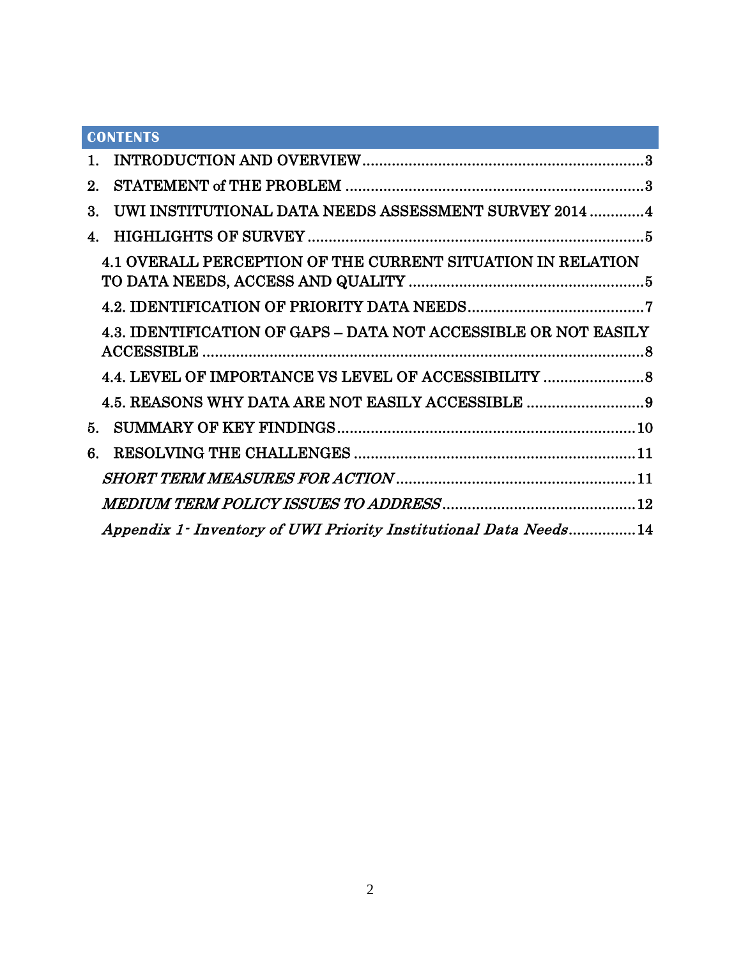|              | <b>CONTENTS</b>                                                    |  |
|--------------|--------------------------------------------------------------------|--|
| 1.           |                                                                    |  |
| $2^{\circ}$  |                                                                    |  |
| 3.           | UWI INSTITUTIONAL DATA NEEDS ASSESSMENT SURVEY 2014  4             |  |
| $\mathbf{4}$ |                                                                    |  |
|              | <b>4.1 OVERALL PERCEPTION OF THE CURRENT SITUATION IN RELATION</b> |  |
|              |                                                                    |  |
|              | 4.3. IDENTIFICATION OF GAPS - DATA NOT ACCESSIBLE OR NOT EASILY    |  |
|              | 4.4. LEVEL OF IMPORTANCE VS LEVEL OF ACCESSIBILITY                 |  |
|              | 4.5. REASONS WHY DATA ARE NOT EASILY ACCESSIBLE 9                  |  |
| 5.           |                                                                    |  |
| 6.           |                                                                    |  |
|              |                                                                    |  |
|              |                                                                    |  |
|              | Appendix 1 - Inventory of UWI Priority Institutional Data Needs14  |  |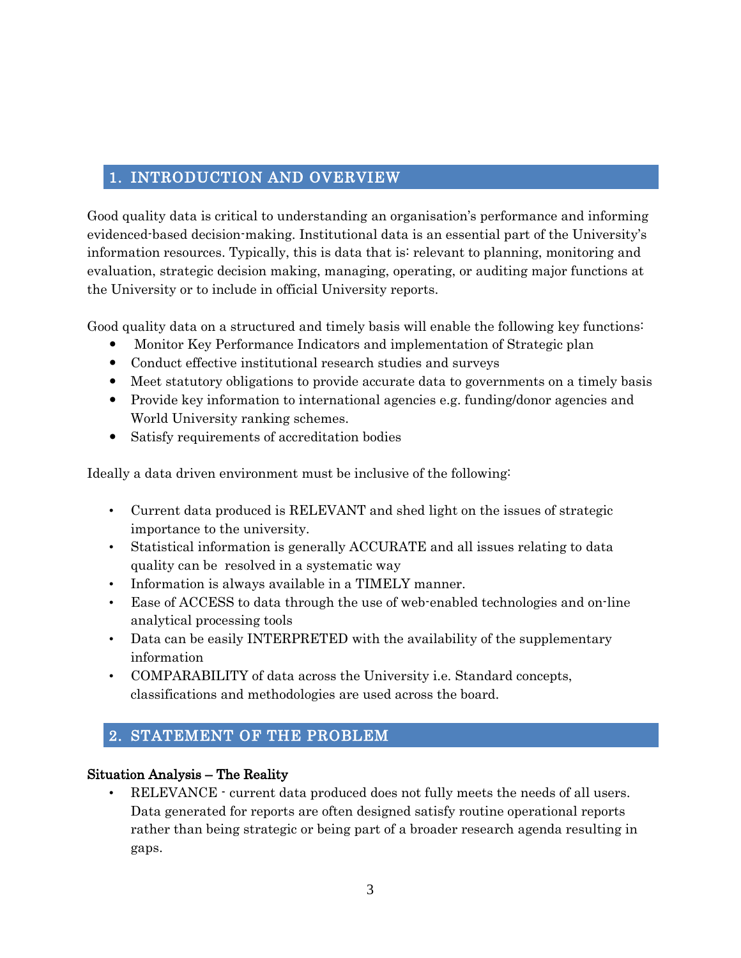# <span id="page-2-0"></span>1. INTRODUCTION AND OVERVIEW

Good quality data is critical to understanding an organisation's performance and informing evidenced-based decision-making. Institutional data is an essential part of the University's information resources. Typically, this is data that is: relevant to planning, monitoring and evaluation, strategic decision making, managing, operating, or auditing major functions at the University or to include in official University reports.

Good quality data on a structured and timely basis will enable the following key functions:

- Monitor Key Performance Indicators and implementation of Strategic plan
- Conduct effective institutional research studies and surveys
- Meet statutory obligations to provide accurate data to governments on a timely basis
- Provide key information to international agencies e.g. funding/donor agencies and World University ranking schemes.
- Satisfy requirements of accreditation bodies

Ideally a data driven environment must be inclusive of the following:

- Current data produced is RELEVANT and shed light on the issues of strategic importance to the university.
- Statistical information is generally ACCURATE and all issues relating to data quality can be resolved in a systematic way
- Information is always available in a TIMELY manner.
- Ease of ACCESS to data through the use of web-enabled technologies and on-line analytical processing tools
- Data can be easily INTERPRETED with the availability of the supplementary information
- COMPARABILITY of data across the University i.e. Standard concepts, classifications and methodologies are used across the board.

# <span id="page-2-1"></span>2. STATEMENT OF THE PROBLEM

### Situation Analysis – The Reality

• RELEVANCE - current data produced does not fully meets the needs of all users. Data generated for reports are often designed satisfy routine operational reports rather than being strategic or being part of a broader research agenda resulting in gaps.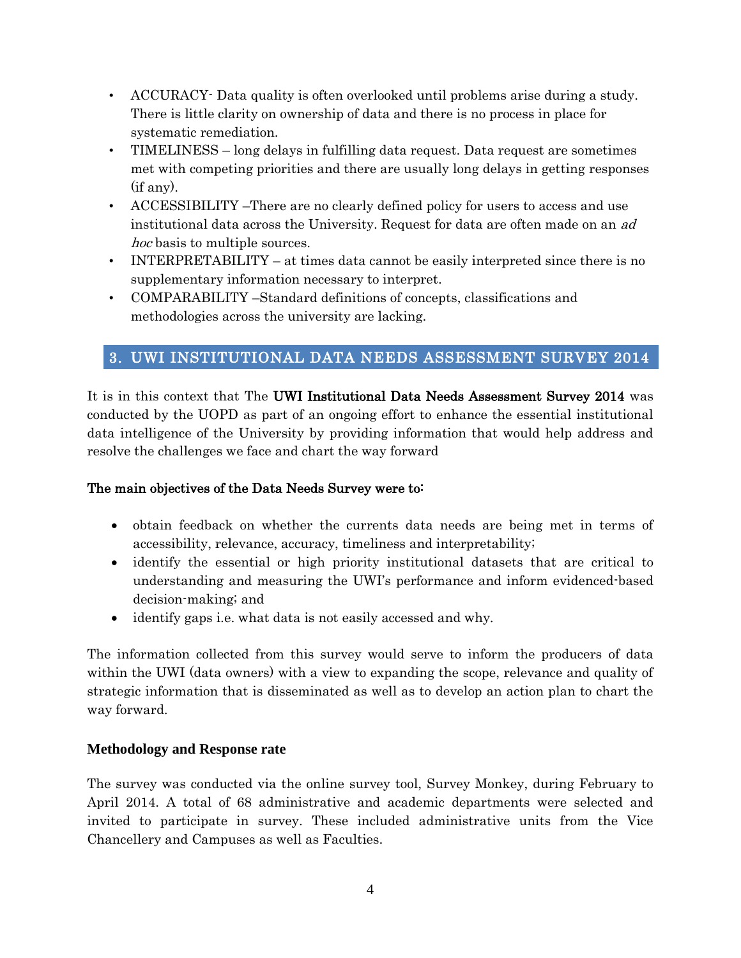- ACCURACY- Data quality is often overlooked until problems arise during a study. There is little clarity on ownership of data and there is no process in place for systematic remediation.
- TIMELINESS long delays in fulfilling data request. Data request are sometimes met with competing priorities and there are usually long delays in getting responses (if any).
- ACCESSIBILITY –There are no clearly defined policy for users to access and use institutional data across the University. Request for data are often made on an ad hoc basis to multiple sources.
- INTERPRETABILITY at times data cannot be easily interpreted since there is no supplementary information necessary to interpret.
- COMPARABILITY –Standard definitions of concepts, classifications and methodologies across the university are lacking.

# <span id="page-3-0"></span>3. UWI INSTITUTIONAL DATA NEEDS ASSESSMENT SURVEY 2014

It is in this context that The UWI Institutional Data Needs Assessment Survey 2014 was conducted by the UOPD as part of an ongoing effort to enhance the essential institutional data intelligence of the University by providing information that would help address and resolve the challenges we face and chart the way forward

### The main objectives of the Data Needs Survey were to:

- obtain feedback on whether the currents data needs are being met in terms of accessibility, relevance, accuracy, timeliness and interpretability;
- identify the essential or high priority institutional datasets that are critical to understanding and measuring the UWI's performance and inform evidenced-based decision-making; and
- identify gaps i.e. what data is not easily accessed and why.

The information collected from this survey would serve to inform the producers of data within the UWI (data owners) with a view to expanding the scope, relevance and quality of strategic information that is disseminated as well as to develop an action plan to chart the way forward.

### **Methodology and Response rate**

The survey was conducted via the online survey tool, Survey Monkey, during February to April 2014. A total of 68 administrative and academic departments were selected and invited to participate in survey. These included administrative units from the Vice Chancellery and Campuses as well as Faculties.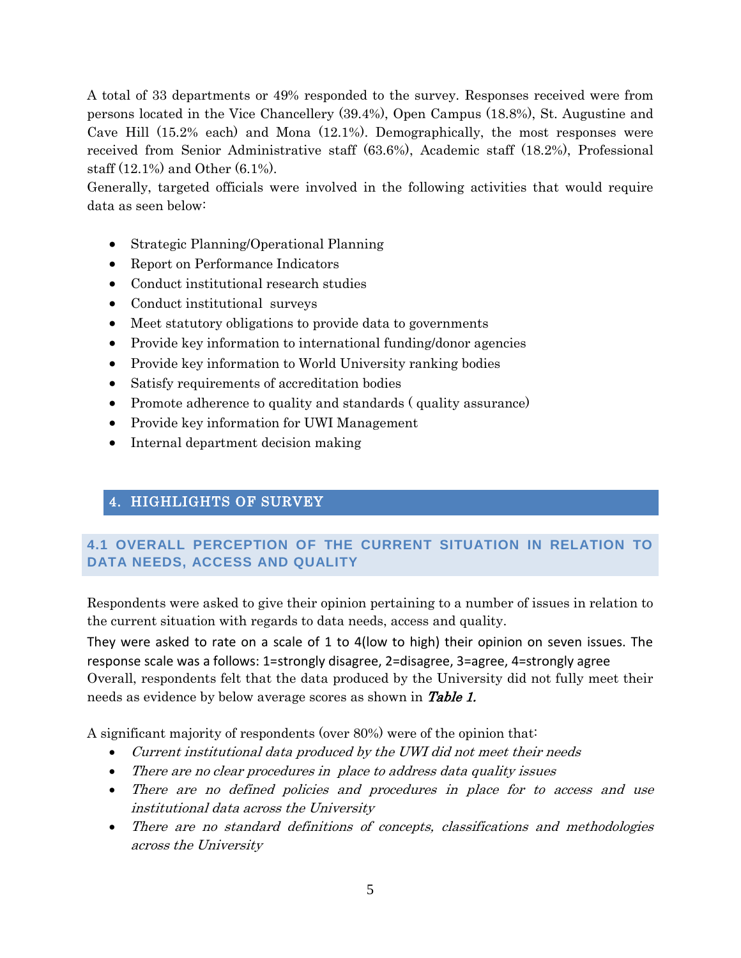A total of 33 departments or 49% responded to the survey. Responses received were from persons located in the Vice Chancellery (39.4%), Open Campus (18.8%), St. Augustine and Cave Hill (15.2% each) and Mona (12.1%). Demographically, the most responses were received from Senior Administrative staff (63.6%), Academic staff (18.2%), Professional staff (12.1%) and Other (6.1%).

Generally, targeted officials were involved in the following activities that would require data as seen below:

- Strategic Planning/Operational Planning
- Report on Performance Indicators
- Conduct institutional research studies
- Conduct institutional surveys
- Meet statutory obligations to provide data to governments
- Provide key information to international funding/donor agencies
- Provide key information to World University ranking bodies
- Satisfy requirements of accreditation bodies
- Promote adherence to quality and standards (quality assurance)
- Provide key information for UWI Management
- Internal department decision making

# <span id="page-4-0"></span>4. HIGHLIGHTS OF SURVEY

# <span id="page-4-1"></span>**4.1 OVERALL PERCEPTION OF THE CURRENT SITUATION IN RELATION TO DATA NEEDS, ACCESS AND QUALITY**

Respondents were asked to give their opinion pertaining to a number of issues in relation to the current situation with regards to data needs, access and quality.

They were asked to rate on a scale of 1 to 4(low to high) their opinion on seven issues. The response scale was a follows: 1=strongly disagree, 2=disagree, 3=agree, 4=strongly agree Overall, respondents felt that the data produced by the University did not fully meet their needs as evidence by below average scores as shown in **Table 1.** 

A significant majority of respondents (over 80%) were of the opinion that:

- Current institutional data produced by the UWI did not meet their needs
- There are no clear procedures in place to address data quality issues
- There are no defined policies and procedures in place for to access and use institutional data across the University
- There are no standard definitions of concepts, classifications and methodologies across the University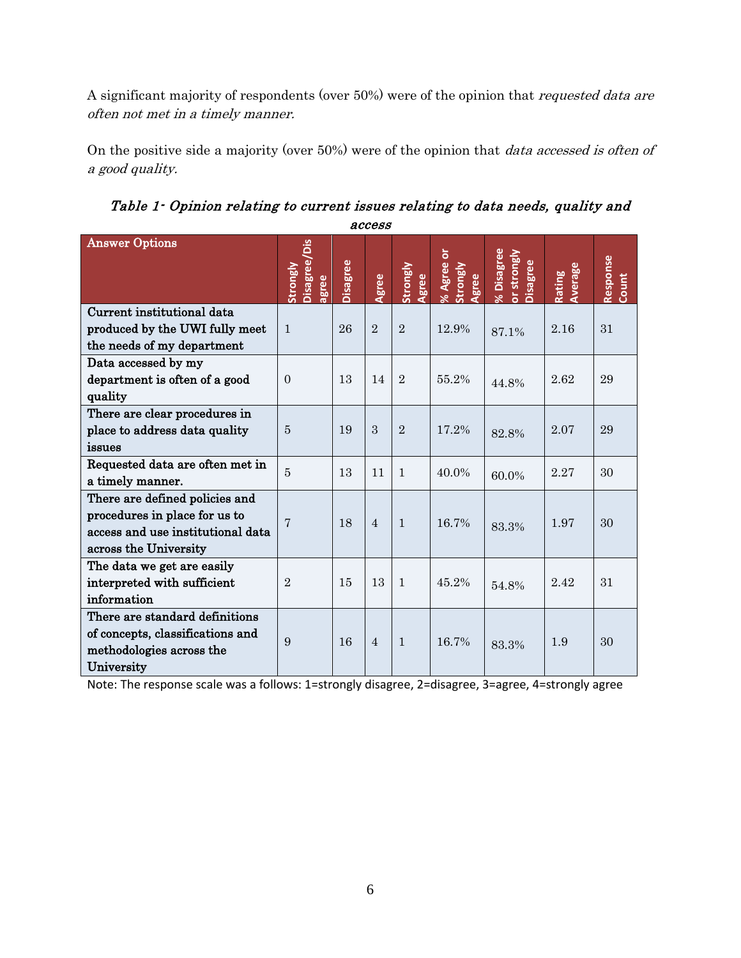A significant majority of respondents (over 50%) were of the opinion that requested data are often not met in a timely manner.

On the positive side a majority (over 50%) were of the opinion that *data accessed is often of* a good quality.

| access                                                                                                                        |                                   |          |                |                   |                                                |                                              |                   |                   |
|-------------------------------------------------------------------------------------------------------------------------------|-----------------------------------|----------|----------------|-------------------|------------------------------------------------|----------------------------------------------|-------------------|-------------------|
| <b>Answer Options</b>                                                                                                         | Disagree/Dis<br>Strongly<br>agree | Disagree | Agree          | Strongly<br>Agree | $\overline{5}$<br>% Agree<br>Strongly<br>Agree | % Disagree<br>or strongly<br><b>Disagree</b> | Average<br>Rating | Response<br>Count |
| Current institutional data<br>produced by the UWI fully meet<br>the needs of my department                                    | $\mathbf{1}$                      | 26       | $\overline{2}$ | $\overline{2}$    | 12.9%                                          | 87.1%                                        | 2.16              | 31                |
| Data accessed by my<br>department is often of a good<br>quality                                                               | $\Omega$                          | 13       | 14             | $\overline{2}$    | 55.2%                                          | 44.8%                                        | 2.62              | 29                |
| There are clear procedures in<br>place to address data quality<br>issues                                                      | $\overline{5}$                    | 19       | 3              | $\overline{2}$    | 17.2%                                          | 82.8%                                        | 2.07              | 29                |
| Requested data are often met in<br>a timely manner.                                                                           | $\overline{5}$                    | 13       | 11             | $\mathbf{1}$      | 40.0%                                          | 60.0%                                        | 2.27              | 30                |
| There are defined policies and<br>procedures in place for us to<br>access and use institutional data<br>across the University | 7                                 | 18       | $\overline{4}$ | $\mathbf{1}$      | 16.7%                                          | 83.3%                                        | 1.97              | 30                |
| The data we get are easily<br>interpreted with sufficient<br>information                                                      | $\overline{2}$                    | 15       | 13             | $\mathbf{1}$      | 45.2%                                          | 54.8%                                        | 2.42              | 31                |
| There are standard definitions<br>of concepts, classifications and<br>methodologies across the<br>University                  | 9                                 | 16       | $\overline{4}$ | $\mathbf{1}$      | 16.7%                                          | 83.3%                                        | 1.9               | 30                |

Table 1- Opinion relating to current issues relating to data needs, quality and access

Note: The response scale was a follows: 1=strongly disagree, 2=disagree, 3=agree, 4=strongly agree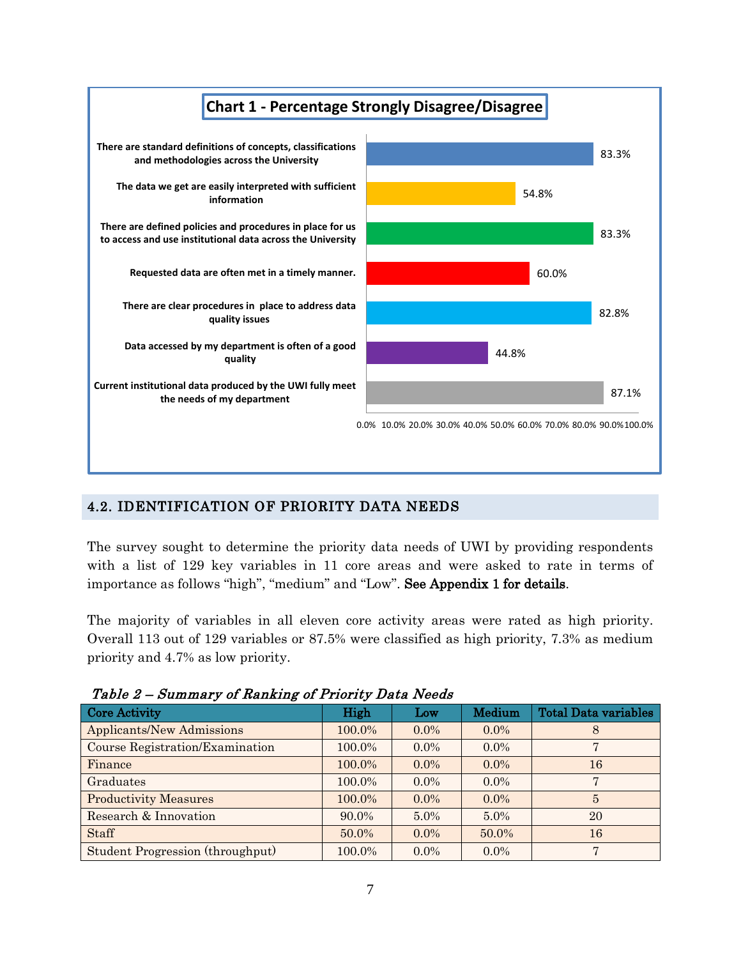

# <span id="page-6-0"></span>4.2. IDENTIFICATION OF PRIORITY DATA NEEDS

The survey sought to determine the priority data needs of UWI by providing respondents with a list of 129 key variables in 11 core areas and were asked to rate in terms of importance as follows "high", "medium" and "Low". See Appendix 1 for details.

The majority of variables in all eleven core activity areas were rated as high priority. Overall 113 out of 129 variables or 87.5% were classified as high priority, 7.3% as medium priority and 4.7% as low priority.

| 10020 = 001111101, 0110011111111110 1110110, Duva 110000 |          |         |         |                             |  |  |  |  |
|----------------------------------------------------------|----------|---------|---------|-----------------------------|--|--|--|--|
| <b>Core Activity</b>                                     | High     | Low     | Medium  | <b>Total Data variables</b> |  |  |  |  |
| <b>Applicants/New Admissions</b>                         | 100.0%   | $0.0\%$ | $0.0\%$ | 8                           |  |  |  |  |
| Course Registration/Examination                          | 100.0%   | $0.0\%$ | $0.0\%$ |                             |  |  |  |  |
| Finance                                                  | 100.0%   | $0.0\%$ | $0.0\%$ | 16                          |  |  |  |  |
| Graduates                                                | 100.0%   | $0.0\%$ | $0.0\%$ | $\overline{7}$              |  |  |  |  |
| <b>Productivity Measures</b>                             | 100.0%   | $0.0\%$ | $0.0\%$ | 5                           |  |  |  |  |
| Research & Innovation                                    | $90.0\%$ | $5.0\%$ | $5.0\%$ | 20                          |  |  |  |  |
| Staff                                                    | 50.0%    | $0.0\%$ | 50.0%   | 16                          |  |  |  |  |
| Student Progression (throughput)                         | 100.0%   | $0.0\%$ | $0.0\%$ | $\overline{7}$              |  |  |  |  |

Table 2 – Summary of Ranking of Priority Data Needs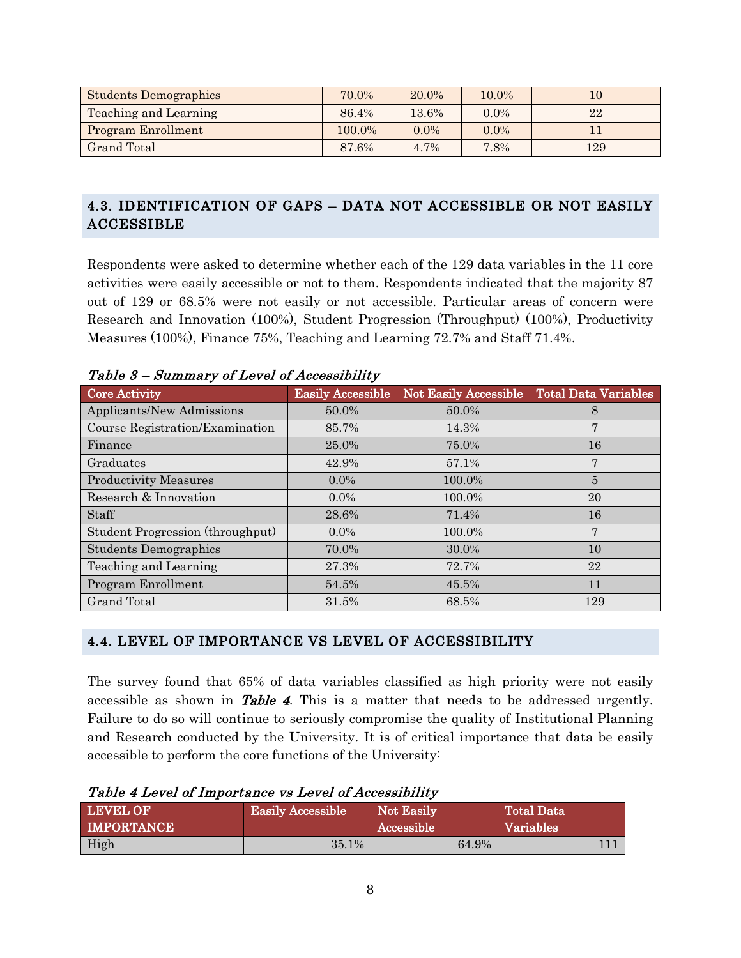| <b>Students Demographics</b> | 70.0%  | 20.0%   | 10.0%   | 10  |
|------------------------------|--------|---------|---------|-----|
| Teaching and Learning        | 86.4%  | 13.6%   | $0.0\%$ | 22  |
| <b>Program Enrollment</b>    | 100.0% | $0.0\%$ | $0.0\%$ |     |
| Grand Total                  | 87.6%  | 4.7%    | 7.8%    | 129 |

# <span id="page-7-0"></span>4.3. IDENTIFICATION OF GAPS – DATA NOT ACCESSIBLE OR NOT EASILY ACCESSIBLE

Respondents were asked to determine whether each of the 129 data variables in the 11 core activities were easily accessible or not to them. Respondents indicated that the majority 87 out of 129 or 68.5% were not easily or not accessible. Particular areas of concern were Research and Innovation (100%), Student Progression (Throughput) (100%), Productivity Measures (100%), Finance 75%, Teaching and Learning 72.7% and Staff 71.4%.

| Core Activity                    | <b>Easily Accessible</b> | Not Easily Accessible | <b>Total Data Variables</b> |
|----------------------------------|--------------------------|-----------------------|-----------------------------|
| Applicants/New Admissions        | 50.0%                    | 50.0%                 | 8                           |
| Course Registration/Examination  | 85.7%                    | 14.3%                 | 7                           |
| Finance                          | 25.0%                    | 75.0%                 | 16                          |
| Graduates                        | 42.9%                    | 57.1%                 | 7                           |
| <b>Productivity Measures</b>     | $0.0\%$                  | 100.0%                | 5                           |
| Research & Innovation            | $0.0\%$                  | 100.0%                | 20                          |
| Staff                            | 28.6%                    | 71.4%                 | 16                          |
| Student Progression (throughput) | $0.0\%$                  | 100.0%                | 7                           |
| <b>Students Demographics</b>     | 70.0%                    | 30.0%                 | 10                          |
| Teaching and Learning            | 27.3%                    | 72.7%                 | 22                          |
| Program Enrollment               | 54.5%                    | 45.5%                 | 11                          |
| <b>Grand Total</b>               | 31.5%                    | 68.5%                 | 129                         |

Table 3 – Summary of Level of Accessibility

### <span id="page-7-1"></span>4.4. LEVEL OF IMPORTANCE VS LEVEL OF ACCESSIBILITY

The survey found that 65% of data variables classified as high priority were not easily accessible as shown in **Table 4**. This is a matter that needs to be addressed urgently. Failure to do so will continue to seriously compromise the quality of Institutional Planning and Research conducted by the University. It is of critical importance that data be easily accessible to perform the core functions of the University:

| Table 4 Level of Importance vs Level of Accessibility |  |
|-------------------------------------------------------|--|
|-------------------------------------------------------|--|

| <b>LEVEL OF</b>   | <b>Easily Accessible</b> | Not Easily        | Total Data |
|-------------------|--------------------------|-------------------|------------|
| <b>IMPORTANCE</b> |                          | <b>Accessible</b> | Variables  |
| High              | 35.1%                    | 64.9%             |            |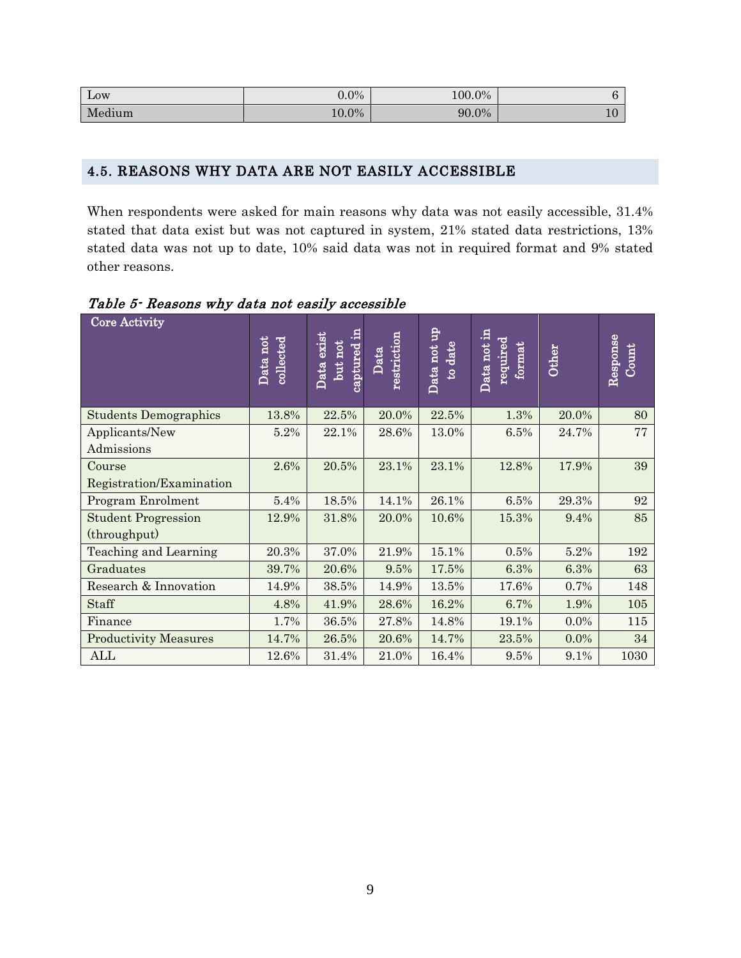| Low    | $0.0\%$ | 100.0% |   |
|--------|---------|--------|---|
| Medium | 10.0%   | 90.0%  | ┸ |

#### <span id="page-8-0"></span>4.5. REASONS WHY DATA ARE NOT EASILY ACCESSIBLE

When respondents were asked for main reasons why data was not easily accessible, 31.4% stated that data exist but was not captured in system, 21% stated data restrictions, 13% stated data was not up to date, 10% said data was not in required format and 9% stated other reasons.

 Core Activity Data not collected<br>Data exist but not captured in Data restriction<br>Data not up to date<br>Data not in required format<br>Other<br>Response Count Students Demographics | 13.8% | 22.5% | 20.0% | 22.5% | 1.3% | 20.0% | 80 Applicants/New Admissions  $5.2\%$  | 22.1% | 28.6% | 13.0% | 6.5% | 24.7% | 77 Course Registration/Examination  $2.6\%$  |  $20.5\%$  |  $23.1\%$  |  $23.1\%$  |  $12.8\%$  |  $17.9\%$  | 39 Program Enrolment 5.4% 18.5% 14.1% 26.1% 6.5% 29.3% 92 Student Progression (throughput) 12.9% 31.8% 20.0% 10.6% 15.3% 9.4% 85 Teaching and Learning 20.3% 37.0% 21.9% 15.1% 0.5% 5.2% 192 Graduates 39.7% 20.6% 9.5% 17.5% 6.3% 6.3% 63 Research & Innovation 14.9% 38.5% 14.9% 13.5% 17.6% 0.7% 148  $\text{Staff}$   $\begin{array}{|l|c|c|c|c|c|c|c|c|} \hline 4.8\% & 41.9\% & 28.6\% & 16.2\% & 6.7\% & 1.9\% & 105 \hline \end{array}$  $\text{Finance} \quad | \quad 1.7\% \quad | \quad 36.5\% \quad | \quad 27.8\% \quad | \quad 14.8\% \quad | \quad 19.1\% \quad | \quad 0.0\% \quad | \quad 115.5\% \quad | \quad 115.5\% \quad | \quad 115.5\% \quad | \quad 115.5\% \quad | \quad 115.5\% \quad | \quad 115.5\% \quad | \quad 115.5\% \quad | \quad 115.5\% \quad | \quad 115.5\% \quad | \quad 115.5\% \quad | \quad 115.5\% \quad$ Productivity Measures | 14.7% | 26.5% | 20.6% | 14.7% | 23.5% | 0.0% | 34  $\text{ALL} \quad | \quad 12.6\% \quad | \quad 31.4\% \quad | \quad 21.0\% \quad | \quad 16.4\% \quad | \quad 9.5\% \quad | \quad 9.1\% \quad | \quad 1030 \quad | \quad 1030 \quad | \quad 1030 \quad | \quad 1030 \quad | \quad 1030 \quad | \quad 1030 \quad | \quad 1030 \quad | \quad 1030 \quad | \quad 1030 \quad | \quad 1030 \quad | \quad 1030 \quad | \quad 1030 \quad | \quad 1030 \quad | \quad 1030 \quad | \quad$ 

Table 5- Reasons why data not easily accessible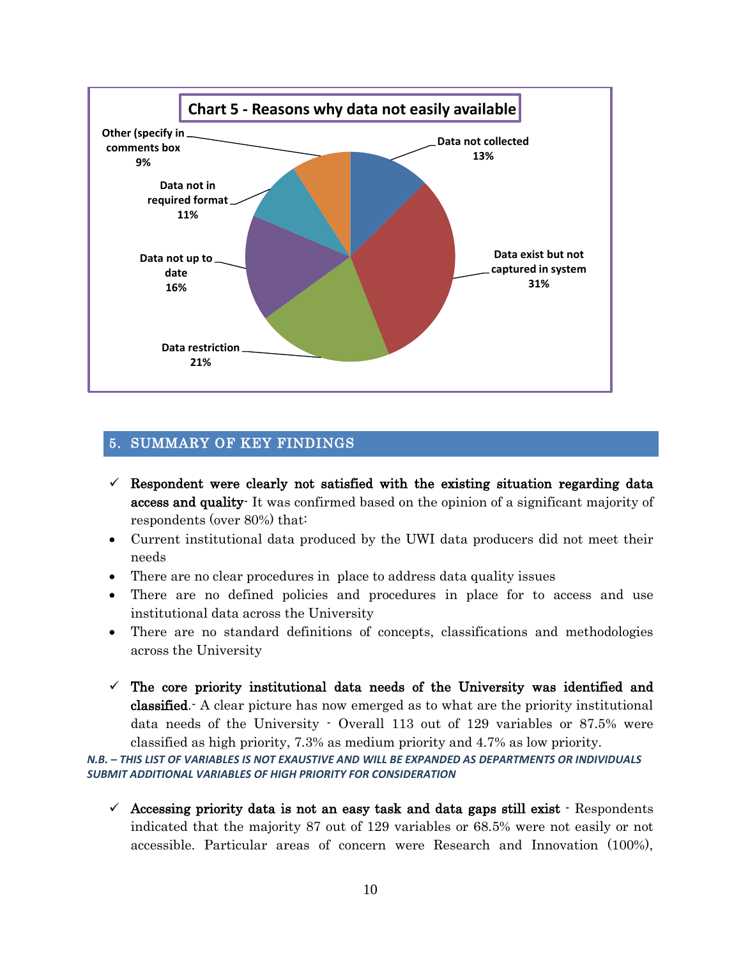

### <span id="page-9-0"></span>5. SUMMARY OF KEY FINDINGS

- $\checkmark$  Respondent were clearly not satisfied with the existing situation regarding data access and quality- It was confirmed based on the opinion of a significant majority of respondents (over 80%) that:
- Current institutional data produced by the UWI data producers did not meet their needs
- There are no clear procedures in place to address data quality issues
- There are no defined policies and procedures in place for to access and use institutional data across the University
- There are no standard definitions of concepts, classifications and methodologies across the University
- $\checkmark$  The core priority institutional data needs of the University was identified and classified.- A clear picture has now emerged as to what are the priority institutional data needs of the University - Overall 113 out of 129 variables or 87.5% were classified as high priority, 7.3% as medium priority and 4.7% as low priority.

*N.B. – THIS LIST OF VARIABLES IS NOT EXAUSTIVE AND WILL BE EXPANDED AS DEPARTMENTS OR INDIVIDUALS SUBMIT ADDITIONAL VARIABLES OF HIGH PRIORITY FOR CONSIDERATION* 

 $\checkmark$  Accessing priority data is not an easy task and data gaps still exist  $\cdot$  Respondents indicated that the majority 87 out of 129 variables or 68.5% were not easily or not accessible. Particular areas of concern were Research and Innovation (100%),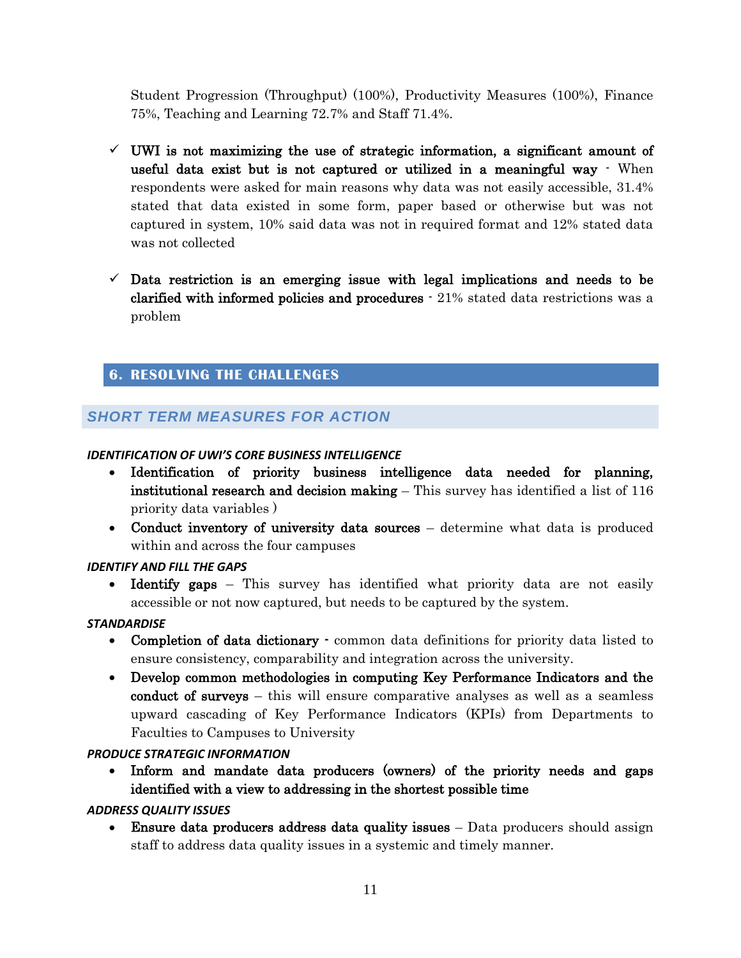Student Progression (Throughput) (100%), Productivity Measures (100%), Finance 75%, Teaching and Learning 72.7% and Staff 71.4%.

- $\checkmark$  UWI is not maximizing the use of strategic information, a significant amount of useful data exist but is not captured or utilized in a meaningful way - When respondents were asked for main reasons why data was not easily accessible, 31.4% stated that data existed in some form, paper based or otherwise but was not captured in system, 10% said data was not in required format and 12% stated data was not collected
- $\checkmark$  Data restriction is an emerging issue with legal implications and needs to be clarified with informed policies and procedures - 21% stated data restrictions was a problem

# <span id="page-10-0"></span>**6. RESOLVING THE CHALLENGES**

# <span id="page-10-1"></span>*SHORT TERM MEASURES FOR ACTION*

#### *IDENTIFICATION OF UWI'S CORE BUSINESS INTELLIGENCE*

- Identification of priority business intelligence data needed for planning, institutional research and decision making – This survey has identified a list of 116 priority data variables )
- Conduct inventory of university data sources determine what data is produced within and across the four campuses

#### *IDENTIFY AND FILL THE GAPS*

• Identify gaps – This survey has identified what priority data are not easily accessible or not now captured, but needs to be captured by the system.

#### *STANDARDISE*

- Completion of data dictionary  $\cdot$  common data definitions for priority data listed to ensure consistency, comparability and integration across the university.
- Develop common methodologies in computing Key Performance Indicators and the conduct of surveys – this will ensure comparative analyses as well as a seamless upward cascading of Key Performance Indicators (KPIs) from Departments to Faculties to Campuses to University

### *PRODUCE STRATEGIC INFORMATION*

 Inform and mandate data producers (owners) of the priority needs and gaps identified with a view to addressing in the shortest possible time

### *ADDRESS QUALITY ISSUES*

• Ensure data producers address data quality issues – Data producers should assign staff to address data quality issues in a systemic and timely manner.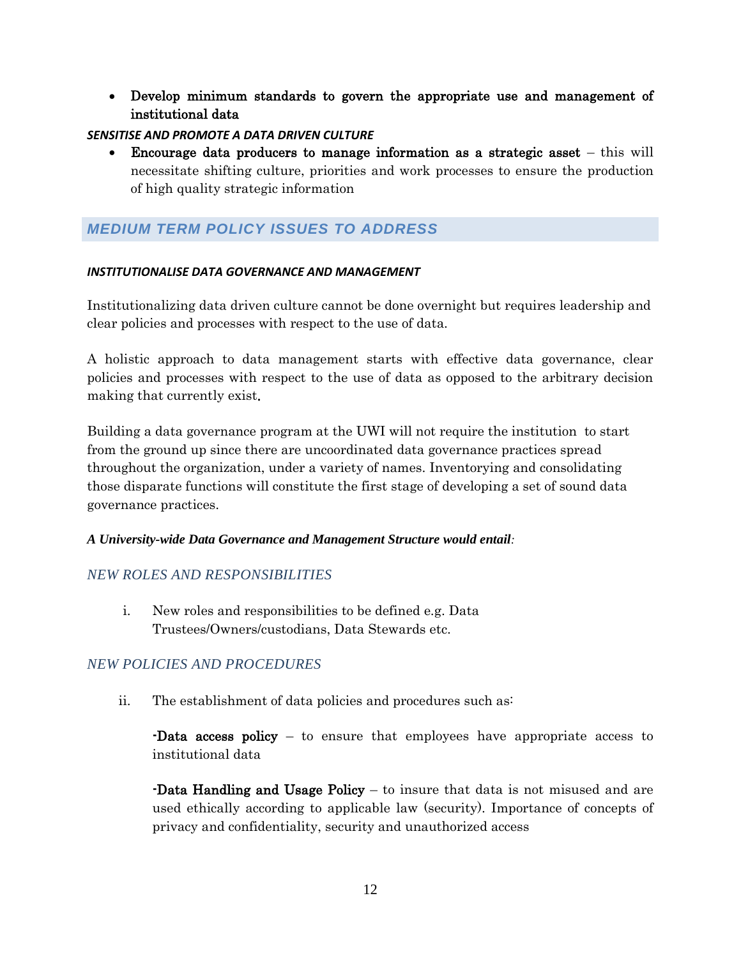Develop minimum standards to govern the appropriate use and management of institutional data

### *SENSITISE AND PROMOTE A DATA DRIVEN CULTURE*

 Encourage data producers to manage information as a strategic asset – this will necessitate shifting culture, priorities and work processes to ensure the production of high quality strategic information

# <span id="page-11-0"></span>*MEDIUM TERM POLICY ISSUES TO ADDRESS*

#### *INSTITUTIONALISE DATA GOVERNANCE AND MANAGEMENT*

Institutionalizing data driven culture cannot be done overnight but requires leadership and clear policies and processes with respect to the use of data.

A holistic approach to data management starts with effective data governance, clear policies and processes with respect to the use of data as opposed to the arbitrary decision making that currently exist.

Building a data governance program at the UWI will not require the institution to start from the ground up since there are uncoordinated data governance practices spread throughout the organization, under a variety of names. Inventorying and consolidating those disparate functions will constitute the first stage of developing a set of sound data governance practices.

### *A University-wide Data Governance and Management Structure would entail:*

### *NEW ROLES AND RESPONSIBILITIES*

i. New roles and responsibilities to be defined e.g. Data Trustees/Owners/custodians, Data Stewards etc.

# *NEW POLICIES AND PROCEDURES*

ii. The establishment of data policies and procedures such as:

-Data access policy – to ensure that employees have appropriate access to institutional data

-Data Handling and Usage Policy – to insure that data is not misused and are used ethically according to applicable law (security). Importance of concepts of privacy and confidentiality, security and unauthorized access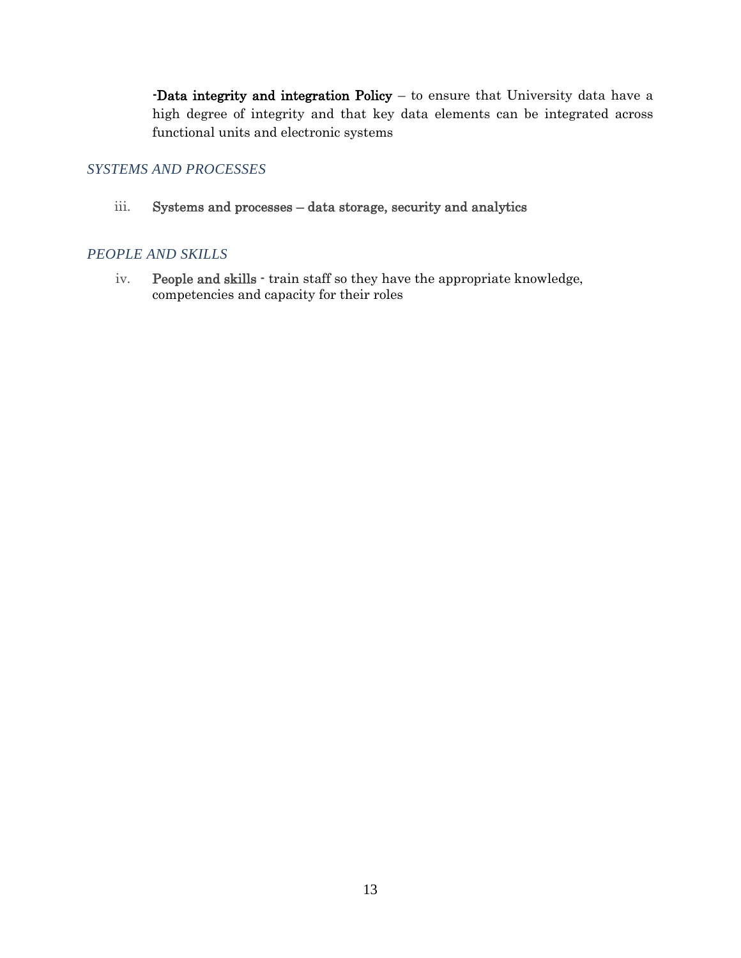-Data integrity and integration Policy – to ensure that University data have a high degree of integrity and that key data elements can be integrated across functional units and electronic systems

### *SYSTEMS AND PROCESSES*

iii. Systems and processes – data storage, security and analytics

### *PEOPLE AND SKILLS*

iv. People and skills - train staff so they have the appropriate knowledge, competencies and capacity for their roles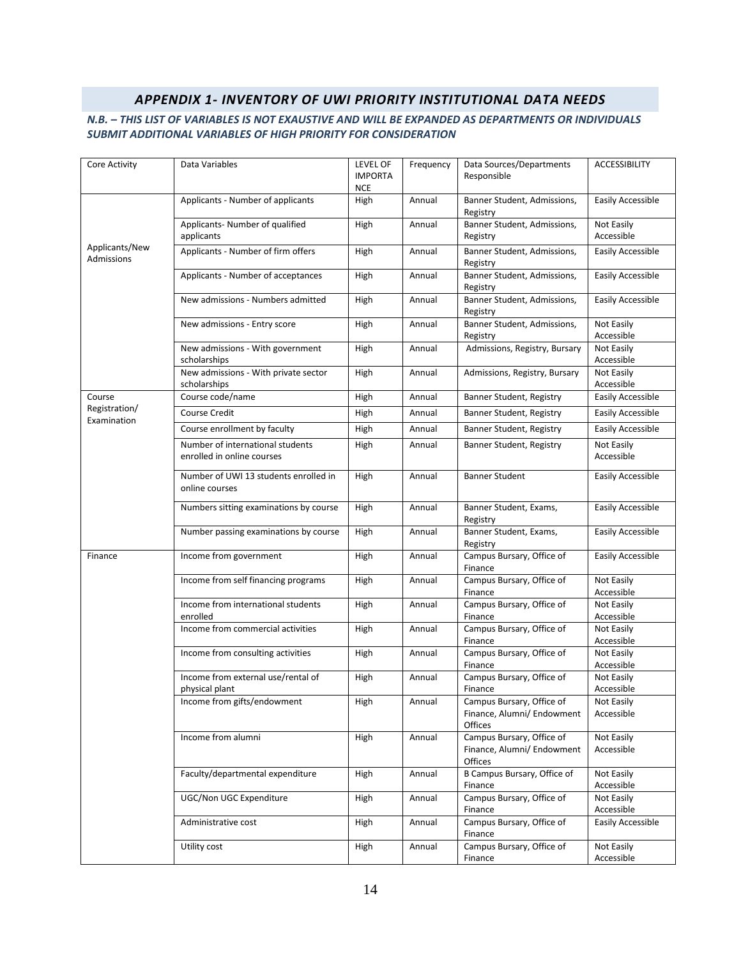#### *APPENDIX 1- INVENTORY OF UWI PRIORITY INSTITUTIONAL DATA NEEDS*

#### <span id="page-13-0"></span>*N.B. – THIS LIST OF VARIABLES IS NOT EXAUSTIVE AND WILL BE EXPANDED AS DEPARTMENTS OR INDIVIDUALS SUBMIT ADDITIONAL VARIABLES OF HIGH PRIORITY FOR CONSIDERATION*

| Core Activity                | Data Variables                                                 | LEVEL OF<br><b>IMPORTA</b><br><b>NCE</b> | Frequency | Data Sources/Departments<br>Responsible                            | <b>ACCESSIBILITY</b>     |
|------------------------------|----------------------------------------------------------------|------------------------------------------|-----------|--------------------------------------------------------------------|--------------------------|
|                              | Applicants - Number of applicants                              | High                                     | Annual    | Banner Student, Admissions,<br>Registry                            | Easily Accessible        |
|                              | Applicants- Number of qualified<br>applicants                  | High                                     | Annual    | Banner Student, Admissions,<br>Registry                            | Not Easily<br>Accessible |
| Applicants/New<br>Admissions | Applicants - Number of firm offers                             | High                                     | Annual    | Banner Student, Admissions,<br>Registry                            | Easily Accessible        |
|                              | Applicants - Number of acceptances                             | High                                     | Annual    | Banner Student, Admissions,<br>Registry                            | Easily Accessible        |
|                              | New admissions - Numbers admitted                              | High                                     | Annual    | Banner Student, Admissions,<br>Registry                            | Easily Accessible        |
|                              | New admissions - Entry score                                   | High                                     | Annual    | Banner Student, Admissions,<br>Registry                            | Not Easily<br>Accessible |
|                              | New admissions - With government<br>scholarships               | High                                     | Annual    | Admissions, Registry, Bursary                                      | Not Easily<br>Accessible |
|                              | New admissions - With private sector<br>scholarships           | High                                     | Annual    | Admissions, Registry, Bursary                                      | Not Easily<br>Accessible |
| Course                       | Course code/name                                               | High                                     | Annual    | Banner Student, Registry                                           | Easily Accessible        |
| Registration/<br>Examination | <b>Course Credit</b>                                           | High                                     | Annual    | Banner Student, Registry                                           | Easily Accessible        |
|                              | Course enrollment by faculty                                   | High                                     | Annual    | Banner Student, Registry                                           | Easily Accessible        |
|                              | Number of international students<br>enrolled in online courses | High                                     | Annual    | Banner Student, Registry                                           | Not Easily<br>Accessible |
|                              | Number of UWI 13 students enrolled in<br>online courses        | High                                     | Annual    | <b>Banner Student</b>                                              | Easily Accessible        |
|                              | Numbers sitting examinations by course                         | High                                     | Annual    | Banner Student, Exams,<br>Registry                                 | Easily Accessible        |
|                              | Number passing examinations by course                          | High                                     | Annual    | Banner Student, Exams,<br>Registry                                 | Easily Accessible        |
| Finance                      | Income from government                                         | High                                     | Annual    | Campus Bursary, Office of<br>Finance                               | Easily Accessible        |
|                              | Income from self financing programs                            | High                                     | Annual    | Campus Bursary, Office of<br>Finance                               | Not Easily<br>Accessible |
|                              | Income from international students<br>enrolled                 | High                                     | Annual    | Campus Bursary, Office of<br>Finance                               | Not Easily<br>Accessible |
|                              | Income from commercial activities                              | High                                     | Annual    | Campus Bursary, Office of<br>Finance                               | Not Easily<br>Accessible |
|                              | Income from consulting activities                              | High                                     | Annual    | Campus Bursary, Office of<br>Finance                               | Not Easily<br>Accessible |
|                              | Income from external use/rental of<br>physical plant           | High                                     | Annual    | Campus Bursary, Office of<br>Finance                               | Not Easily<br>Accessible |
|                              | Income from gifts/endowment                                    | High                                     | Annual    | Campus Bursary, Office of<br>Finance, Alumni/ Endowment<br>Offices | Not Easily<br>Accessible |
|                              | Income from alumni                                             | High                                     | Annual    | Campus Bursary, Office of<br>Finance, Alumni/ Endowment<br>Offices | Not Easily<br>Accessible |
|                              | Faculty/departmental expenditure                               | High                                     | Annual    | B Campus Bursary, Office of<br>Finance                             | Not Easily<br>Accessible |
|                              | UGC/Non UGC Expenditure                                        | High                                     | Annual    | Campus Bursary, Office of<br>Finance                               | Not Easily<br>Accessible |
|                              | Administrative cost                                            | High                                     | Annual    | Campus Bursary, Office of<br>Finance                               | Easily Accessible        |
|                              | Utility cost                                                   | High                                     | Annual    | Campus Bursary, Office of<br>Finance                               | Not Easily<br>Accessible |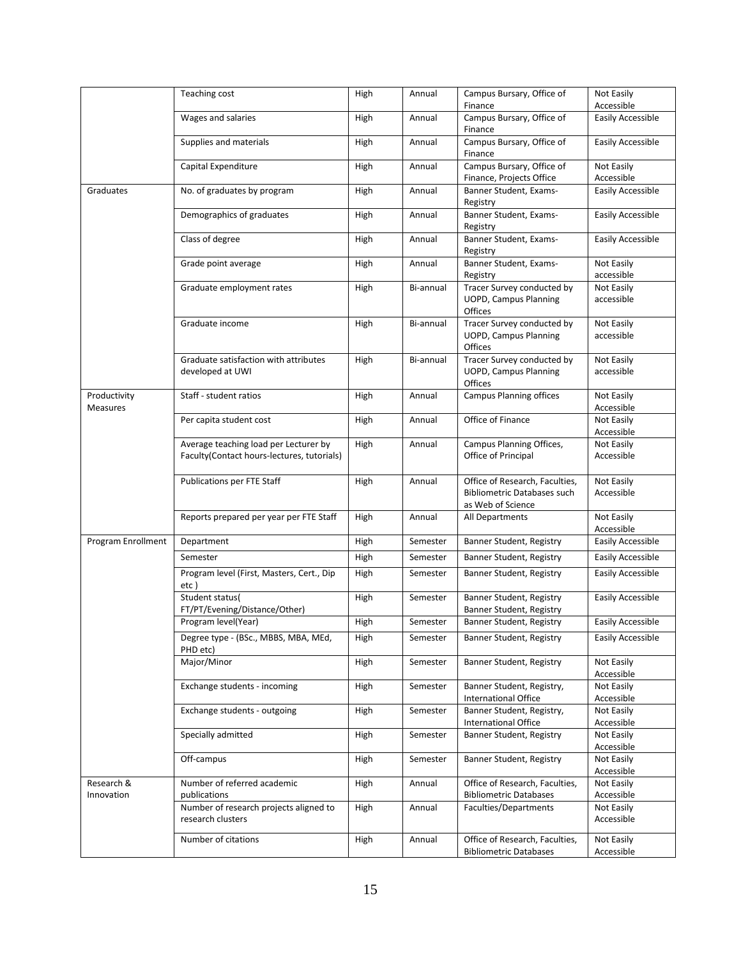|                                 | Teaching cost                                                                       | <b>High</b> | Annual    | Campus Bursary, Office of                                                                 | Not Easily               |
|---------------------------------|-------------------------------------------------------------------------------------|-------------|-----------|-------------------------------------------------------------------------------------------|--------------------------|
|                                 |                                                                                     |             |           | Finance                                                                                   | Accessible               |
|                                 | Wages and salaries                                                                  | High        | Annual    | Campus Bursary, Office of<br>Finance                                                      | Easily Accessible        |
|                                 | Supplies and materials                                                              | High        | Annual    | Campus Bursary, Office of<br>Finance                                                      | Easily Accessible        |
|                                 | Capital Expenditure                                                                 | High        | Annual    | Campus Bursary, Office of<br>Finance, Projects Office                                     | Not Easily<br>Accessible |
| Graduates                       | No. of graduates by program                                                         | High        | Annual    | Banner Student, Exams-<br>Registry                                                        | Easily Accessible        |
|                                 | Demographics of graduates                                                           | High        | Annual    | Banner Student, Exams-<br>Registry                                                        | Easily Accessible        |
|                                 | Class of degree                                                                     | High        | Annual    | Banner Student, Exams-<br>Registry                                                        | Easily Accessible        |
|                                 | Grade point average                                                                 | High        | Annual    | Banner Student, Exams-<br>Registry                                                        | Not Easily<br>accessible |
|                                 | Graduate employment rates                                                           | High        | Bi-annual | Tracer Survey conducted by<br><b>UOPD, Campus Planning</b><br>Offices                     | Not Easily<br>accessible |
|                                 | Graduate income                                                                     | High        | Bi-annual | Tracer Survey conducted by<br><b>UOPD, Campus Planning</b><br>Offices                     | Not Easily<br>accessible |
|                                 | Graduate satisfaction with attributes<br>developed at UWI                           | High        | Bi-annual | Tracer Survey conducted by<br><b>UOPD, Campus Planning</b><br>Offices                     | Not Easily<br>accessible |
| Productivity<br><b>Measures</b> | Staff - student ratios                                                              | High        | Annual    | <b>Campus Planning offices</b>                                                            | Not Easily<br>Accessible |
|                                 | Per capita student cost                                                             | High        | Annual    | Office of Finance                                                                         | Not Easily<br>Accessible |
|                                 | Average teaching load per Lecturer by<br>Faculty(Contact hours-lectures, tutorials) | High        | Annual    | Campus Planning Offices,<br>Office of Principal                                           | Not Easily<br>Accessible |
|                                 | Publications per FTE Staff                                                          | High        | Annual    | Office of Research, Faculties,<br><b>Bibliometric Databases such</b><br>as Web of Science | Not Easily<br>Accessible |
|                                 | Reports prepared per year per FTE Staff                                             | High        | Annual    | All Departments                                                                           | Not Easily<br>Accessible |
| Program Enrollment              | Department                                                                          | High        | Semester  | Banner Student, Registry                                                                  | Easily Accessible        |
|                                 | Semester                                                                            | High        | Semester  | Banner Student, Registry                                                                  | Easily Accessible        |
|                                 | Program level (First, Masters, Cert., Dip<br>etc)                                   | High        | Semester  | Banner Student, Registry                                                                  | Easily Accessible        |
|                                 | Student status(<br>FT/PT/Evening/Distance/Other)                                    | High        | Semester  | Banner Student, Registry<br>Banner Student, Registry                                      | Easily Accessible        |
|                                 | Program level(Year)                                                                 | High        | Semester  | Banner Student, Registry                                                                  | Easily Accessible        |
|                                 | Degree type - (BSc., MBBS, MBA, MEd,<br>PHD etc)                                    | High        | Semester  | Banner Student, Registry                                                                  | Easily Accessible        |
|                                 | Major/Minor                                                                         | High        | Semester  | Banner Student, Registry                                                                  | Not Easily<br>Accessible |
|                                 | Exchange students - incoming                                                        | High        | Semester  | Banner Student, Registry,<br><b>International Office</b>                                  | Not Easily<br>Accessible |
|                                 | Exchange students - outgoing                                                        | High        | Semester  | Banner Student, Registry,<br><b>International Office</b>                                  | Not Easily<br>Accessible |
|                                 | Specially admitted                                                                  | High        | Semester  | Banner Student, Registry                                                                  | Not Easily<br>Accessible |
|                                 | Off-campus                                                                          | High        | Semester  | Banner Student, Registry                                                                  | Not Easily<br>Accessible |
| Research &<br>Innovation        | Number of referred academic<br>publications                                         | High        | Annual    | Office of Research, Faculties,<br><b>Bibliometric Databases</b>                           | Not Easily<br>Accessible |
|                                 | Number of research projects aligned to<br>research clusters                         | High        | Annual    | Faculties/Departments                                                                     | Not Easily<br>Accessible |
|                                 | Number of citations                                                                 | High        | Annual    | Office of Research, Faculties,<br><b>Bibliometric Databases</b>                           | Not Easily<br>Accessible |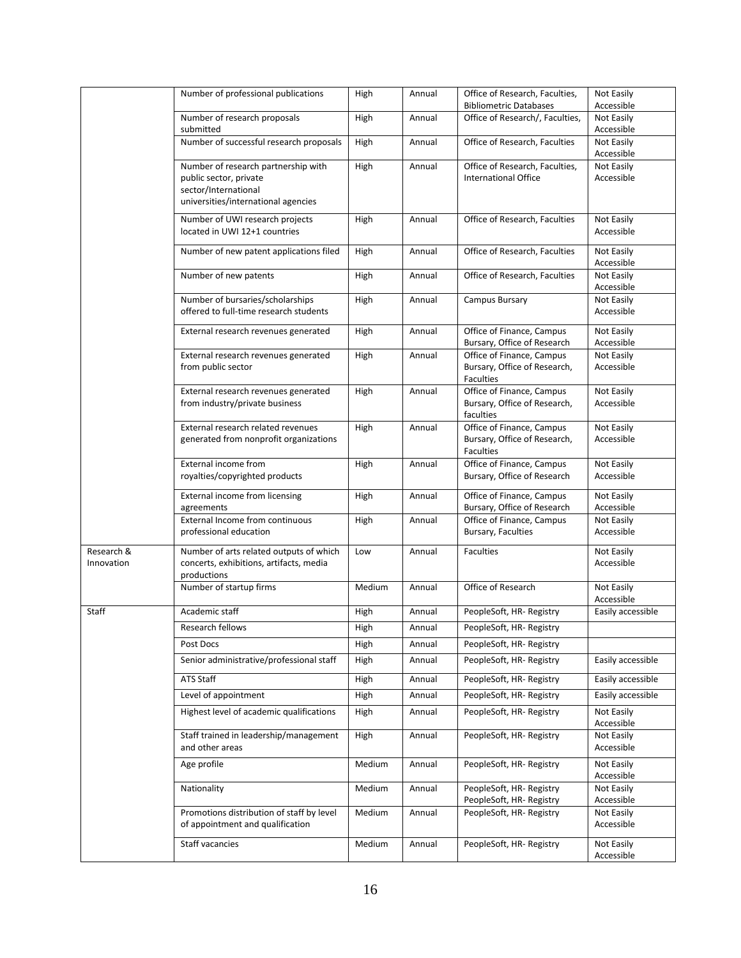|                          | Number of professional publications                                                | High   | Annual | Office of Research, Faculties,                            | Not Easily               |
|--------------------------|------------------------------------------------------------------------------------|--------|--------|-----------------------------------------------------------|--------------------------|
|                          |                                                                                    |        |        | <b>Bibliometric Databases</b>                             | Accessible               |
|                          | Number of research proposals                                                       | High   | Annual | Office of Research/, Faculties,                           | Not Easily               |
|                          | submitted<br>Number of successful research proposals                               | High   | Annual | Office of Research, Faculties                             | Accessible<br>Not Easily |
|                          |                                                                                    |        |        |                                                           | Accessible               |
|                          | Number of research partnership with                                                | High   | Annual | Office of Research, Faculties,                            | Not Easily               |
|                          | public sector, private                                                             |        |        | <b>International Office</b>                               | Accessible               |
|                          | sector/International                                                               |        |        |                                                           |                          |
|                          | universities/international agencies                                                |        |        |                                                           |                          |
|                          | Number of UWI research projects                                                    | High   | Annual | Office of Research, Faculties                             | Not Easily               |
|                          | located in UWI 12+1 countries                                                      |        |        |                                                           | Accessible               |
|                          | Number of new patent applications filed                                            | High   | Annual | Office of Research, Faculties                             | Not Easily               |
|                          |                                                                                    |        |        |                                                           | Accessible               |
|                          | Number of new patents                                                              | High   | Annual | Office of Research, Faculties                             | Not Easily<br>Accessible |
|                          | Number of bursaries/scholarships                                                   | High   | Annual | Campus Bursary                                            | Not Easily               |
|                          | offered to full-time research students                                             |        |        |                                                           | Accessible               |
|                          | External research revenues generated                                               | High   | Annual | Office of Finance, Campus                                 | Not Easily               |
|                          |                                                                                    |        |        | Bursary, Office of Research                               | Accessible               |
|                          | External research revenues generated                                               | High   | Annual | Office of Finance, Campus                                 | Not Easily               |
|                          | from public sector                                                                 |        |        | Bursary, Office of Research,                              | Accessible               |
|                          |                                                                                    |        |        | <b>Faculties</b>                                          |                          |
|                          | External research revenues generated<br>from industry/private business             | High   | Annual | Office of Finance, Campus<br>Bursary, Office of Research, | Not Easily<br>Accessible |
|                          |                                                                                    |        |        | faculties                                                 |                          |
|                          | External research related revenues                                                 | High   | Annual | Office of Finance, Campus                                 | Not Easily               |
|                          | generated from nonprofit organizations                                             |        |        | Bursary, Office of Research,                              | Accessible               |
|                          |                                                                                    |        |        | <b>Faculties</b>                                          |                          |
|                          | External income from                                                               | High   | Annual | Office of Finance, Campus                                 | Not Easily<br>Accessible |
|                          | royalties/copyrighted products                                                     |        |        | Bursary, Office of Research                               |                          |
|                          | External income from licensing                                                     | High   | Annual | Office of Finance, Campus                                 | Not Easily               |
|                          | agreements<br><b>External Income from continuous</b>                               | High   | Annual | Bursary, Office of Research<br>Office of Finance, Campus  | Accessible<br>Not Easily |
|                          | professional education                                                             |        |        | Bursary, Faculties                                        | Accessible               |
|                          |                                                                                    |        |        |                                                           |                          |
| Research &<br>Innovation | Number of arts related outputs of which<br>concerts, exhibitions, artifacts, media | Low    | Annual | <b>Faculties</b>                                          | Not Easily<br>Accessible |
|                          | productions                                                                        |        |        |                                                           |                          |
|                          | Number of startup firms                                                            | Medium | Annual | Office of Research                                        | Not Easily               |
|                          |                                                                                    |        |        |                                                           | Accessible               |
| Staff                    | Academic staff                                                                     | High   | Annual | PeopleSoft, HR-Registry                                   | Easily accessible        |
|                          | Research fellows                                                                   | High   | Annual | PeopleSoft, HR-Registry                                   |                          |
|                          | Post Docs                                                                          | High   | Annual | PeopleSoft, HR-Registry                                   |                          |
|                          | Senior administrative/professional staff                                           | High   | Annual | PeopleSoft, HR-Registry                                   | Easily accessible        |
|                          | ATS Staff                                                                          | High   | Annual | PeopleSoft, HR-Registry                                   | Easily accessible        |
|                          | Level of appointment                                                               | High   | Annual | PeopleSoft, HR-Registry                                   | Easily accessible        |
|                          | Highest level of academic qualifications                                           |        |        |                                                           |                          |
|                          |                                                                                    | High   | Annual | PeopleSoft, HR-Registry                                   | Not Easily<br>Accessible |
|                          | Staff trained in leadership/management                                             | High   | Annual | PeopleSoft, HR-Registry                                   | Not Easily               |
|                          | and other areas                                                                    |        |        |                                                           | Accessible               |
|                          | Age profile                                                                        | Medium | Annual | PeopleSoft, HR- Registry                                  | Not Easily               |
|                          |                                                                                    |        |        |                                                           | Accessible               |
|                          | Nationality                                                                        | Medium | Annual | PeopleSoft, HR- Registry                                  | Not Easily               |
|                          | Promotions distribution of staff by level                                          | Medium | Annual | PeopleSoft, HR-Registry<br>PeopleSoft, HR-Registry        | Accessible<br>Not Easily |
|                          | of appointment and qualification                                                   |        |        |                                                           | Accessible               |
|                          | Staff vacancies                                                                    | Medium |        | PeopleSoft, HR-Registry                                   | Not Easily               |
|                          |                                                                                    |        | Annual |                                                           | Accessible               |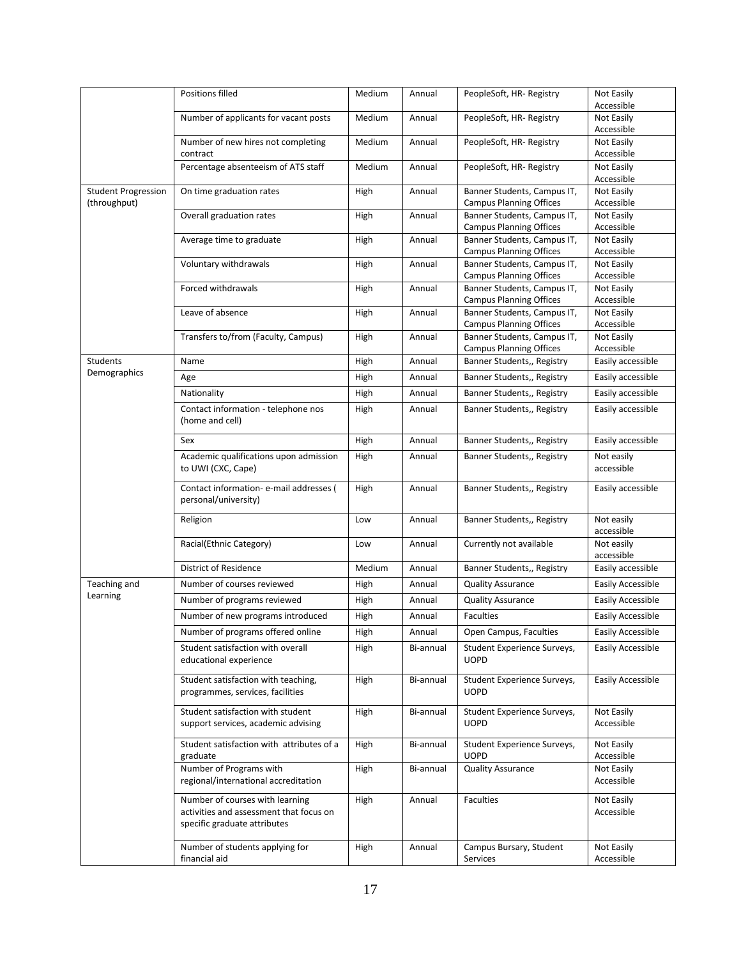|                            | Positions filled                                                                                           | Medium | Annual    | PeopleSoft, HR-Registry                                       | Not Easily               |
|----------------------------|------------------------------------------------------------------------------------------------------------|--------|-----------|---------------------------------------------------------------|--------------------------|
|                            |                                                                                                            |        |           |                                                               | Accessible               |
|                            | Number of applicants for vacant posts                                                                      | Medium | Annual    | PeopleSoft, HR-Registry                                       | Not Easily               |
|                            |                                                                                                            |        |           |                                                               | Accessible               |
|                            | Number of new hires not completing<br>contract                                                             | Medium | Annual    | PeopleSoft, HR-Registry                                       | Not Easily<br>Accessible |
|                            | Percentage absenteeism of ATS staff                                                                        | Medium | Annual    | PeopleSoft, HR- Registry                                      | Not Easily<br>Accessible |
| <b>Student Progression</b> | On time graduation rates                                                                                   | High   | Annual    | Banner Students, Campus IT,                                   | Not Easily               |
| (throughput)               |                                                                                                            |        |           | <b>Campus Planning Offices</b>                                | Accessible               |
|                            | Overall graduation rates                                                                                   | High   | Annual    | Banner Students, Campus IT,                                   | Not Easily               |
|                            |                                                                                                            |        |           | <b>Campus Planning Offices</b>                                | Accessible               |
|                            | Average time to graduate                                                                                   | High   | Annual    | Banner Students, Campus IT,<br><b>Campus Planning Offices</b> | Not Easily<br>Accessible |
|                            | Voluntary withdrawals                                                                                      | High   | Annual    | Banner Students, Campus IT,                                   | Not Easily               |
|                            |                                                                                                            |        |           | <b>Campus Planning Offices</b>                                | Accessible               |
|                            | Forced withdrawals                                                                                         | High   | Annual    | Banner Students, Campus IT,                                   | Not Easily               |
|                            |                                                                                                            |        |           | <b>Campus Planning Offices</b>                                | Accessible               |
|                            | Leave of absence                                                                                           | High   | Annual    | Banner Students, Campus IT,                                   | Not Easily               |
|                            |                                                                                                            |        |           | <b>Campus Planning Offices</b>                                | Accessible               |
|                            | Transfers to/from (Faculty, Campus)                                                                        | High   | Annual    | Banner Students, Campus IT,<br><b>Campus Planning Offices</b> | Not Easily<br>Accessible |
| Students                   | Name                                                                                                       | High   | Annual    | Banner Students,, Registry                                    | Easily accessible        |
| Demographics               | Age                                                                                                        | High   | Annual    | Banner Students,, Registry                                    | Easily accessible        |
|                            |                                                                                                            |        |           |                                                               |                          |
|                            | Nationality                                                                                                | High   | Annual    | Banner Students,, Registry                                    | Easily accessible        |
|                            | Contact information - telephone nos<br>(home and cell)                                                     | High   | Annual    | Banner Students,, Registry                                    | Easily accessible        |
|                            | Sex                                                                                                        | High   | Annual    | Banner Students,, Registry                                    | Easily accessible        |
|                            | Academic qualifications upon admission<br>to UWI (CXC, Cape)                                               | High   | Annual    | Banner Students,, Registry                                    | Not easily<br>accessible |
|                            | Contact information- e-mail addresses (<br>personal/university)                                            | High   | Annual    | Banner Students,, Registry                                    | Easily accessible        |
|                            | Religion                                                                                                   | Low    | Annual    | Banner Students,, Registry                                    | Not easily<br>accessible |
|                            | Racial(Ethnic Category)                                                                                    | Low    | Annual    | Currently not available                                       | Not easily<br>accessible |
|                            | <b>District of Residence</b>                                                                               | Medium | Annual    | Banner Students,, Registry                                    | Easily accessible        |
| Teaching and               | Number of courses reviewed                                                                                 | High   | Annual    | <b>Quality Assurance</b>                                      | Easily Accessible        |
| Learning                   | Number of programs reviewed                                                                                | High   | Annual    | <b>Quality Assurance</b>                                      | Easily Accessible        |
|                            | Number of new programs introduced                                                                          | High   | Annual    | Faculties                                                     | Easily Accessible        |
|                            | Number of programs offered online                                                                          | High   | Annual    | Open Campus, Faculties                                        | Easily Accessible        |
|                            |                                                                                                            |        |           |                                                               |                          |
|                            | Student satisfaction with overall<br>educational experience                                                | High   | Bi-annual | Student Experience Surveys,<br><b>UOPD</b>                    | Easily Accessible        |
|                            | Student satisfaction with teaching,<br>programmes, services, facilities                                    | High   | Bi-annual | Student Experience Surveys,<br><b>UOPD</b>                    | Easily Accessible        |
|                            | Student satisfaction with student<br>support services, academic advising                                   | High   | Bi-annual | Student Experience Surveys,<br><b>UOPD</b>                    | Not Easily<br>Accessible |
|                            | Student satisfaction with attributes of a<br>graduate                                                      | High   | Bi-annual | Student Experience Surveys,<br><b>UOPD</b>                    | Not Easily<br>Accessible |
|                            | Number of Programs with<br>regional/international accreditation                                            | High   | Bi-annual | <b>Quality Assurance</b>                                      | Not Easily<br>Accessible |
|                            | Number of courses with learning<br>activities and assessment that focus on<br>specific graduate attributes | High   | Annual    | Faculties                                                     | Not Easily<br>Accessible |
|                            | Number of students applying for<br>financial aid                                                           | High   | Annual    | Campus Bursary, Student<br>Services                           | Not Easily<br>Accessible |